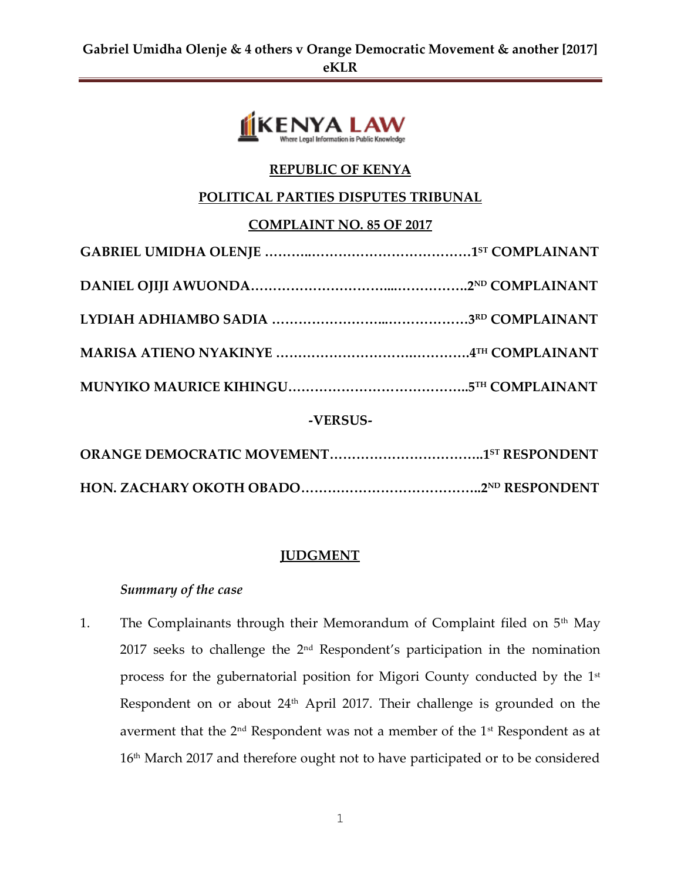

# **REPUBLIC OF KENYA**

## **POLITICAL PARTIES DISPUTES TRIBUNAL**

### **COMPLAINT NO. 85 OF 2017**

| -VERSUS- |  |  |
|----------|--|--|
|          |  |  |

**HON. ZACHARY OKOTH OBADO…………………………………..2ND RESPONDENT**

### **JUDGMENT**

### *Summary of the case*

1. The Complainants through their Memorandum of Complaint filed on 5<sup>th</sup> May 2017 seeks to challenge the 2<sup>nd</sup> Respondent's participation in the nomination process for the gubernatorial position for Migori County conducted by the 1st Respondent on or about 24<sup>th</sup> April 2017. Their challenge is grounded on the averment that the  $2<sup>nd</sup>$  Respondent was not a member of the  $1<sup>st</sup>$  Respondent as at 16<sup>th</sup> March 2017 and therefore ought not to have participated or to be considered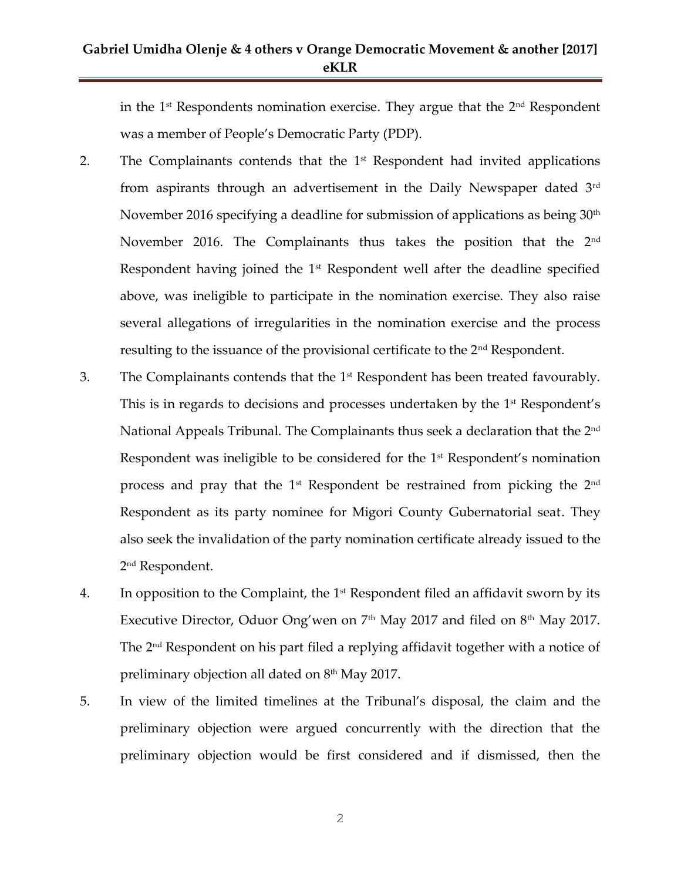## **Gabriel Umidha Olenje & 4 others v Orange Democratic Movement & another [2017] eKLR**

in the  $1<sup>st</sup>$  Respondents nomination exercise. They argue that the  $2<sup>nd</sup>$  Respondent was a member of People's Democratic Party (PDP).

- 2. The Complainants contends that the  $1<sup>st</sup>$  Respondent had invited applications from aspirants through an advertisement in the Daily Newspaper dated 3rd November 2016 specifying a deadline for submission of applications as being 30<sup>th</sup> November 2016. The Complainants thus takes the position that the 2<sup>nd</sup> Respondent having joined the 1<sup>st</sup> Respondent well after the deadline specified above, was ineligible to participate in the nomination exercise. They also raise several allegations of irregularities in the nomination exercise and the process resulting to the issuance of the provisional certificate to the 2<sup>nd</sup> Respondent.
- 3. The Complainants contends that the 1<sup>st</sup> Respondent has been treated favourably. This is in regards to decisions and processes undertaken by the 1<sup>st</sup> Respondent's National Appeals Tribunal. The Complainants thus seek a declaration that the 2nd Respondent was ineligible to be considered for the 1<sup>st</sup> Respondent's nomination process and pray that the  $1<sup>st</sup>$  Respondent be restrained from picking the  $2<sup>nd</sup>$ Respondent as its party nominee for Migori County Gubernatorial seat. They also seek the invalidation of the party nomination certificate already issued to the 2 nd Respondent.
- 4. In opposition to the Complaint, the  $1<sup>st</sup>$  Respondent filed an affidavit sworn by its Executive Director, Oduor Ong'wen on  $7<sup>th</sup>$  May 2017 and filed on  $8<sup>th</sup>$  May 2017. The 2nd Respondent on his part filed a replying affidavit together with a notice of preliminary objection all dated on  $8<sup>th</sup>$  May 2017.
- 5. In view of the limited timelines at the Tribunal's disposal, the claim and the preliminary objection were argued concurrently with the direction that the preliminary objection would be first considered and if dismissed, then the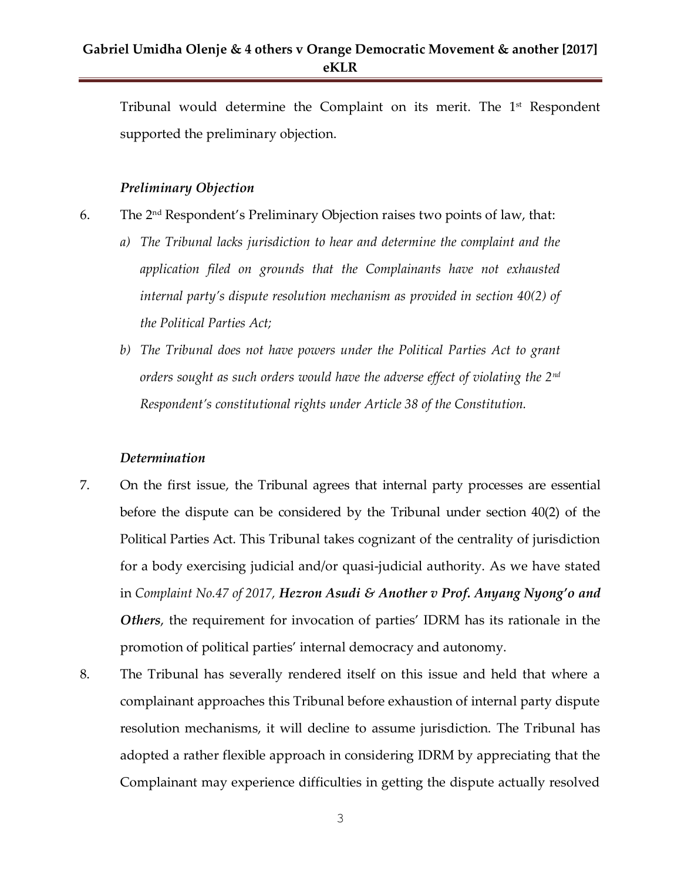Tribunal would determine the Complaint on its merit. The 1<sup>st</sup> Respondent supported the preliminary objection.

#### *Preliminary Objection*

- 6. The 2<sup>nd</sup> Respondent's Preliminary Objection raises two points of law, that:
	- *a) The Tribunal lacks jurisdiction to hear and determine the complaint and the application filed on grounds that the Complainants have not exhausted internal party's dispute resolution mechanism as provided in section 40(2) of the Political Parties Act;*
	- *b) The Tribunal does not have powers under the Political Parties Act to grant orders sought as such orders would have the adverse effect of violating the 2nd Respondent's constitutional rights under Article 38 of the Constitution.*

#### *Determination*

- 7. On the first issue, the Tribunal agrees that internal party processes are essential before the dispute can be considered by the Tribunal under section 40(2) of the Political Parties Act. This Tribunal takes cognizant of the centrality of jurisdiction for a body exercising judicial and/or quasi-judicial authority. As we have stated in *Complaint No.47 of 2017, Hezron Asudi & Another v Prof. Anyang Nyong'o and Others*, the requirement for invocation of parties' IDRM has its rationale in the promotion of political parties' internal democracy and autonomy.
- 8. The Tribunal has severally rendered itself on this issue and held that where a complainant approaches this Tribunal before exhaustion of internal party dispute resolution mechanisms, it will decline to assume jurisdiction. The Tribunal has adopted a rather flexible approach in considering IDRM by appreciating that the Complainant may experience difficulties in getting the dispute actually resolved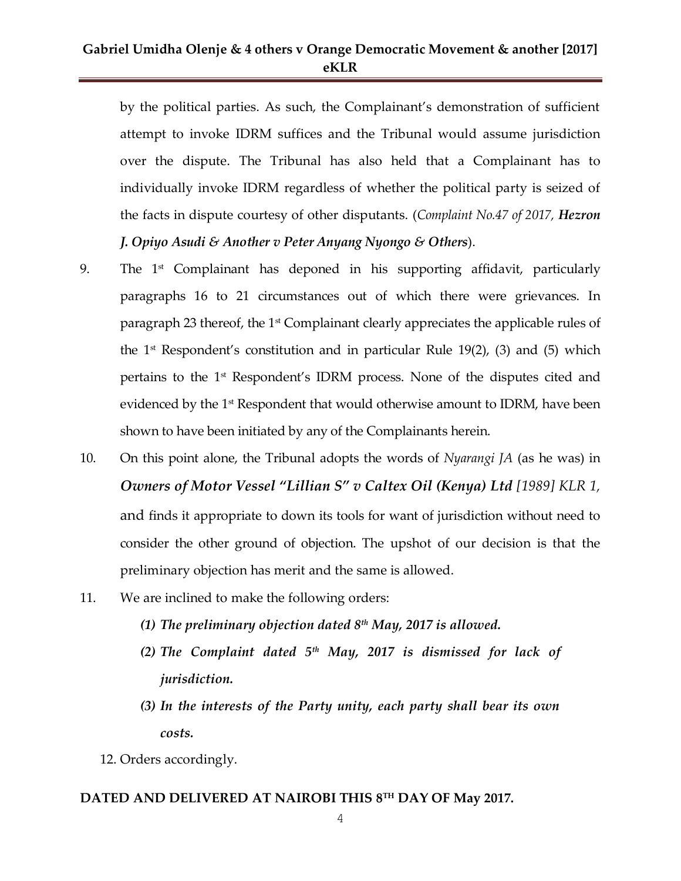## **Gabriel Umidha Olenje & 4 others v Orange Democratic Movement & another [2017] eKLR**

by the political parties. As such, the Complainant's demonstration of sufficient attempt to invoke IDRM suffices and the Tribunal would assume jurisdiction over the dispute. The Tribunal has also held that a Complainant has to individually invoke IDRM regardless of whether the political party is seized of the facts in dispute courtesy of other disputants. (*Complaint No.47 of 2017, Hezron J. Opiyo Asudi & Another v Peter Anyang Nyongo & Others*).

- 9. The 1<sup>st</sup> Complainant has deponed in his supporting affidavit, particularly paragraphs 16 to 21 circumstances out of which there were grievances. In paragraph 23 thereof, the 1<sup>st</sup> Complainant clearly appreciates the applicable rules of the  $1<sup>st</sup>$  Respondent's constitution and in particular Rule 19(2), (3) and (5) which pertains to the 1st Respondent's IDRM process. None of the disputes cited and evidenced by the 1<sup>st</sup> Respondent that would otherwise amount to IDRM, have been shown to have been initiated by any of the Complainants herein.
- 10. On this point alone, the Tribunal adopts the words of *Nyarangi JA* (as he was) in *Owners of Motor Vessel "Lillian S" v Caltex Oil (Kenya) Ltd [1989] KLR 1,*  and finds it appropriate to down its tools for want of jurisdiction without need to consider the other ground of objection. The upshot of our decision is that the preliminary objection has merit and the same is allowed.
- 11. We are inclined to make the following orders:
	- *(1) The preliminary objection dated 8th May, 2017 is allowed.*
	- *(2) The Complaint dated 5th May, 2017 is dismissed for lack of jurisdiction.*
	- *(3) In the interests of the Party unity, each party shall bear its own costs.*
	- 12. Orders accordingly.

#### **DATED AND DELIVERED AT NAIROBI THIS 8 TH DAY OF May 2017.**